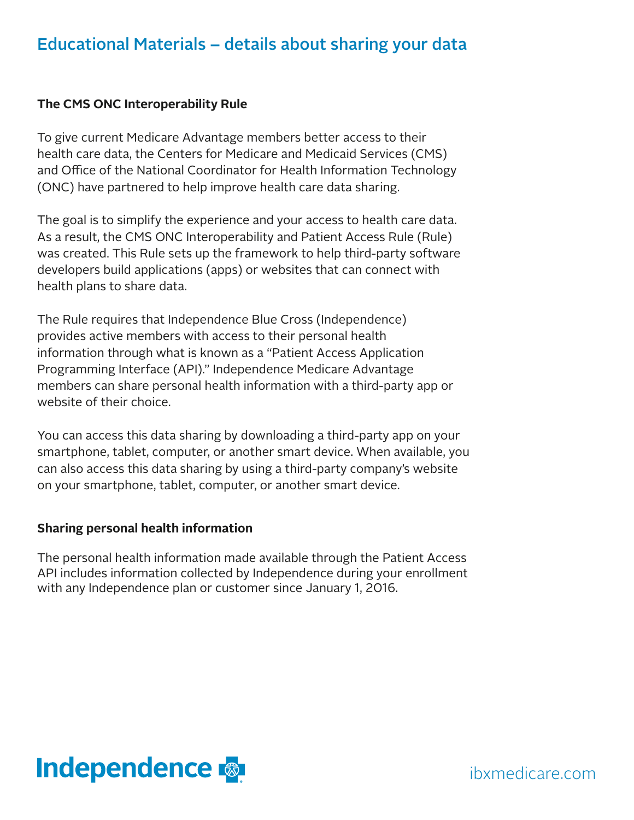### Educational Materials – details about sharing your data

#### **The CMS ONC Interoperability Rule**

To give current Medicare Advantage members better access to their health care data, the Centers for Medicare and Medicaid Services (CMS) and Office of the National Coordinator for Health Information Technology (ONC) have partnered to help improve health care data sharing.

The goal is to simplify the experience and your access to health care data. As a result, the CMS ONC Interoperability and Patient Access Rule (Rule) was created. This Rule sets up the framework to help third-party software developers build applications (apps) or websites that can connect with health plans to share data.

The Rule requires that Independence Blue Cross (Independence) provides active members with access to their personal health information through what is known as a "Patient Access Application Programming Interface (API)." Independence Medicare Advantage members can share personal health information with a third-party app or website of their choice.

You can access this data sharing by downloading a third-party app on your smartphone, tablet, computer, or another smart device. When available, you can also access this data sharing by using a third-party company's website on your smartphone, tablet, computer, or another smart device.

#### **Sharing personal health information**

The personal health information made available through the Patient Access API includes information collected by Independence during your enrollment with any Independence plan or customer since January 1, 2016.



ibxmedicare.com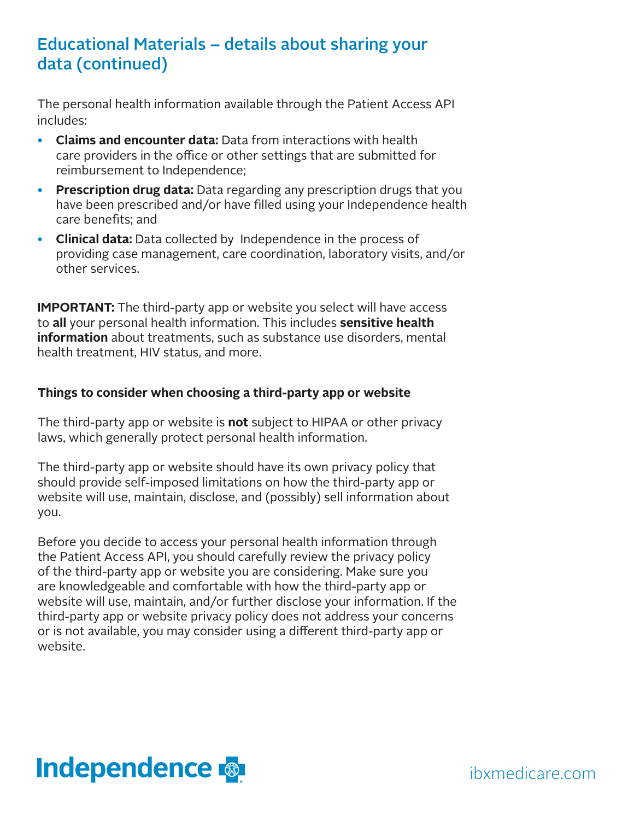### Educational Materials – details about sharing your data (continued)

The personal health information available through the Patient Access API includes:

- **Claims and encounter data:** Data from interactions with health care providers in the office or other settings that are submitted for reimbursement to Independence;
- **Prescription drug data:** Data regarding any prescription drugs that you have been prescribed and/or have filled using your Independence health care benefits; and
- **Clinical data:** Data collected by Independence in the process of providing case management, care coordination, laboratory visits, and/or other services.

**IMPORTANT:** The third-party app or website you select will have access to **all** your personal health information. This includes **sensitive health information** about treatments, such as substance use disorders, mental health treatment, HIV status, and more.

#### **Things to consider when choosing a third-party app or website**

The third-party app or website is **not** subject to HIPAA or other privacy laws, which generally protect personal health information.

The third-party app or website should have its own privacy policy that should provide self-imposed limitations on how the third-party app or website will use, maintain, disclose, and (possibly) sell information about you.

Before you decide to access your personal health information through the Patient Access API, you should carefully review the privacy policy of the third-party app or website you are considering. Make sure you are knowledgeable and comfortable with how the third-party app or website will use, maintain, and/or further disclose your information. If the third-party app or website privacy policy does not address your concerns or is not available, you may consider using a different third-party app or website.



ibxmedicare.com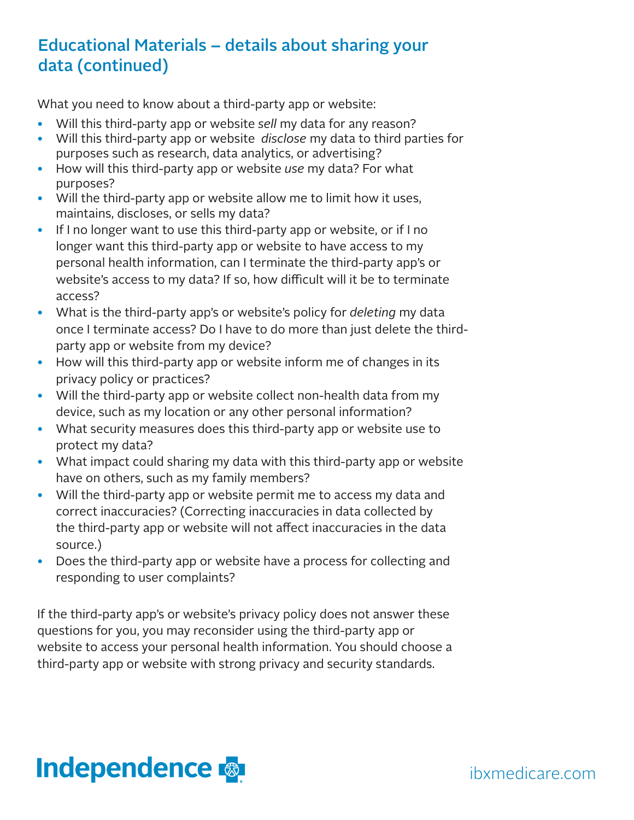## Educational Materials – details about sharing your data (continued)

What you need to know about a third-party app or website:

- Will this third-party app or website *sell* my data for any reason?
- Will this third-party app or website *disclose* my data to third parties for purposes such as research, data analytics, or advertising?
- How will this third-party app or website *use* my data? For what purposes?
- Will the third-party app or website allow me to limit how it uses, maintains, discloses, or sells my data?
- If I no longer want to use this third-party app or website, or if I no longer want this third-party app or website to have access to my personal health information, can I terminate the third-party app's or website's access to my data? If so, how difficult will it be to terminate access?
- What is the third-party app's or website's policy for *deleting* my data once I terminate access? Do I have to do more than just delete the thirdparty app or website from my device?
- How will this third-party app or website inform me of changes in its privacy policy or practices?
- Will the third-party app or website collect non-health data from my device, such as my location or any other personal information?
- What security measures does this third-party app or website use to protect my data?
- What impact could sharing my data with this third-party app or website have on others, such as my family members?
- Will the third-party app or website permit me to access my data and correct inaccuracies? (Correcting inaccuracies in data collected by the third-party app or website will not affect inaccuracies in the data source.)
- Does the third-party app or website have a process for collecting and responding to user complaints?

If the third-party app's or website's privacy policy does not answer these questions for you, you may reconsider using the third-party app or website to access your personal health information. You should choose a third-party app or website with strong privacy and security standards.